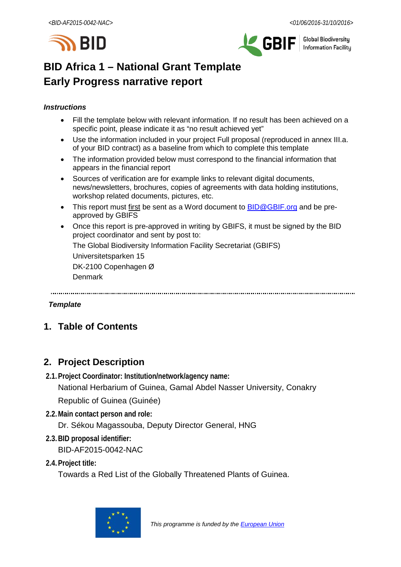



**Global Biodiversity Information Facilitu** 

# **BID Africa 1 – National Grant Template Early Progress narrative report**

### *Instructions*

- Fill the template below with relevant information. If no result has been achieved on a specific point, please indicate it as "no result achieved yet"
- Use the information included in your project Full proposal (reproduced in annex III.a. of your BID contract) as a baseline from which to complete this template
- The information provided below must correspond to the financial information that appears in the financial report
- Sources of verification are for example links to relevant digital documents, news/newsletters, brochures, copies of agreements with data holding institutions, workshop related documents, pictures, etc.
- This report must first be sent as a Word document to **BID@GBIF.org** and be preapproved by GBIFS
- Once this report is pre-approved in writing by GBIFS, it must be signed by the BID project coordinator and sent by post to:

The Global Biodiversity Information Facility Secretariat (GBIFS)

Universitetsparken 15

DK-2100 Copenhagen Ø

Denmark

### *Template*

# **1. Table of Contents**

# **2. Project Description**

**2.1.Project Coordinator: Institution/network/agency name:**

National Herbarium of Guinea, Gamal Abdel Nasser University, Conakry

Republic of Guinea (Guinée)

**2.2.Main contact person and role:**

Dr. Sékou Magassouba, Deputy Director General, HNG

**2.3.BID proposal identifier:**

BID-AF2015-0042-NAC

**2.4.Project title:**

Towards a Red List of the Globally Threatened Plants of Guinea.

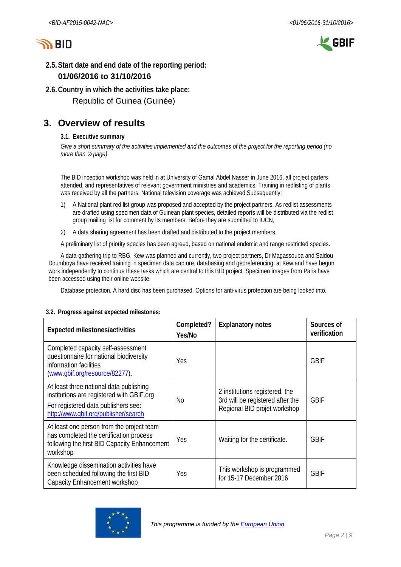



# **2.5.Start date and end date of the reporting period:**

## **01/06/2016 to 31/10/2016**

**2.6.Country in which the activities take place:**

Republic of Guinea (Guinée)

# **3. Overview of results**

### **3.1. Executive summary**

*Give a short summary of the activities implemented and the outcomes of the project for the reporting period (no more than ½ page)*

The BID inception workshop was held in at University of Gamal Abdel Nasser in June 2016, all project parters attended, and representatives of relevant government ministries and academics. Training in redlisting of plants was received by all the partners. National television coverage was achieved.Subsequently:

- 1) A National plant red list group was proposed and accepted by the project partners. As redlist assessments are drafted using specimen data of Guinean plant species, detailed reports will be distributed via the redlist group mailing list for comment by its members. Before they are submitted to IUCN,
- 2) A data sharing agreement has been drafted and distributed to the project members.

A preliminary list of priority species has been agreed, based on national endemic and range restricted species.

A data-gathering trip to RBG, Kew was planned and currently, two project partners, Dr Magassouba and Saidou Doumboya have received training in specimen data capture, databasing and georeferencing at Kew and have begun work independently to continue these tasks which are central to this BID project. Specimen images from Paris have been accessed using their online website.

Database protection. A hard disc has been purchased. Options for anti-virus protection are being looked into.

| <b>Expected milestones/activities</b>                                                                                                                               | Completed?<br>Yes/No | <b>Explanatory notes</b>                                                                           | Sources of<br>verification |
|---------------------------------------------------------------------------------------------------------------------------------------------------------------------|----------------------|----------------------------------------------------------------------------------------------------|----------------------------|
| Completed capacity self-assessment<br>questionnaire for national biodiversity<br>information facilities<br>(www.qbif.org/resource/82277).                           | Yes                  |                                                                                                    | <b>GBIF</b>                |
| At least three national data publishing<br>institutions are registered with GBIF org<br>For registered data publishers see:<br>http://www.qbif.org/publisher/search | No.                  | 2 institutions registered, the<br>3rd will be registered after the<br>Regional BID projet workshop | <b>GBIF</b>                |
| At least one person from the project team<br>has completed the certification process<br>following the first BID Capacity Enhancement<br>workshop                    | Yes                  | Waiting for the certificate.                                                                       | <b>GBIF</b>                |
| Knowledge dissemination activities have<br>been scheduled following the first BID<br><b>Capacity Enhancement workshop</b>                                           | Yes                  | This workshop is programmed<br>for 15-17 December 2016                                             | <b>GBIF</b>                |

### **3.2. Progress against expected milestones:**

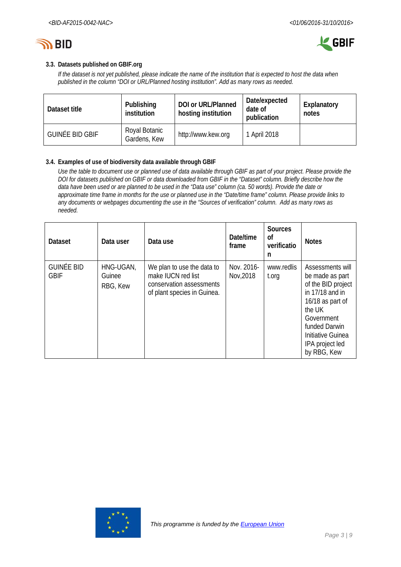



### **3.3. Datasets published on GBIF.org**

*If the dataset is not yet published, please indicate the name of the institution that is expected to host the data when published in the column "DOI or URL/Planned hosting institution". Add as many rows as needed.*

| Dataset title   | Publishing<br>institution     | DOI or URL/Planned<br>hosting institution | Date/expected<br>date of<br>publication | Explanatory<br>notes |  |  |
|-----------------|-------------------------------|-------------------------------------------|-----------------------------------------|----------------------|--|--|
| GUINÉE BID GBIF | Royal Botanic<br>Gardens, Kew | http://www.kew.org                        | April 2018                              |                      |  |  |

#### **3.4. Examples of use of biodiversity data available through GBIF**

*Use the table to document use or planned use of data available through GBIF as part of your project. Please provide the DOI for datasets published on GBIF or data downloaded from GBIF in the "Dataset" column. Briefly describe how the data have been used or are planned to be used in the "Data use" column (ca. 50 words). Provide the date or approximate time frame in months for the use or planned use in the "Date/time frame" column. Please provide links to any documents or webpages documenting the use in the "Sources of verification" column. Add as many rows as needed.*

| <b>Dataset</b>                   | Data user                       | Data use                                                                                                    | Date/time<br>frame      | <b>Sources</b><br>οf<br>verificatio<br>n | <b>Notes</b>                                                                                                                                                                                       |
|----------------------------------|---------------------------------|-------------------------------------------------------------------------------------------------------------|-------------------------|------------------------------------------|----------------------------------------------------------------------------------------------------------------------------------------------------------------------------------------------------|
| <b>GUINÉE BID</b><br><b>GBIF</b> | HNG-UGAN,<br>Guinee<br>RBG, Kew | We plan to use the data to<br>make IUCN red list<br>conservation assessments<br>of plant species in Guinea. | Nov. 2016-<br>Nov, 2018 | www.redlis<br>t.org                      | Assessments will<br>be made as part<br>of the BID project<br>in $17/18$ and in<br>16/18 as part of<br>the UK<br>Government<br>funded Darwin<br>Initiative Guinea<br>IPA project led<br>by RBG, Kew |

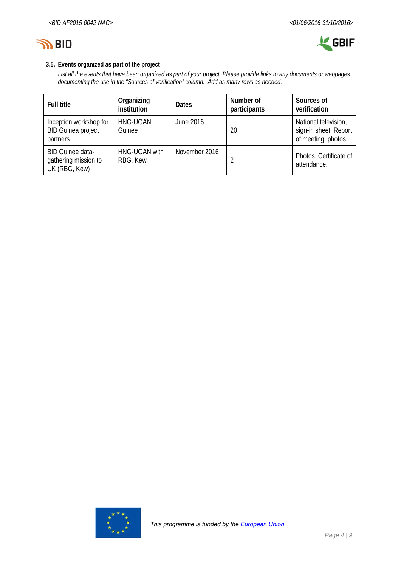



### **3.5. Events organized as part of the project**

*List all the events that have been organized as part of your project. Please provide links to any documents or webpages documenting the use in the "Sources of verification" column. Add as many rows as needed.*

| <b>Full title</b>                                                | Organizing<br>institution | <b>Dates</b>  | Number of<br>participants | Sources of<br>verification                                           |  |  |  |
|------------------------------------------------------------------|---------------------------|---------------|---------------------------|----------------------------------------------------------------------|--|--|--|
| Inception workshop for<br><b>BID Guinea project</b><br>partners  | <b>HNG-UGAN</b><br>Guinee | June 2016     | 20                        | National television,<br>sign-in sheet, Report<br>of meeting, photos. |  |  |  |
| <b>BID Guinee data-</b><br>gathering mission to<br>UK (RBG, Kew) | HNG-UGAN with<br>RBG, Kew | November 2016 |                           | Photos. Certificate of<br>attendance.                                |  |  |  |

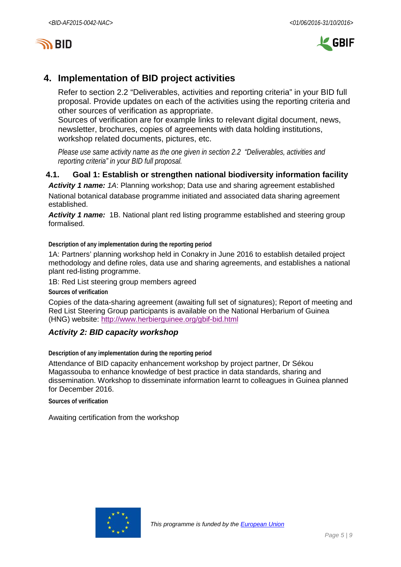



# **4. Implementation of BID project activities**

Refer to section 2.2 "Deliverables, activities and reporting criteria" in your BID full proposal. Provide updates on each of the activities using the reporting criteria and other sources of verification as appropriate.

Sources of verification are for example links to relevant digital document, news, newsletter, brochures, copies of agreements with data holding institutions, workshop related documents, pictures, etc.

*Please use same activity name as the one given in section 2.2 "Deliverables, activities and reporting criteria" in your BID full proposal.*

## **4.1. Goal 1: Establish or strengthen national biodiversity information facility**

*Activity 1 name: 1A*: Planning workshop; Data use and sharing agreement established National botanical database programme initiated and associated data sharing agreement established.

*Activity 1 name:* 1B. National plant red listing programme established and steering group formalised.

**Description of any implementation during the reporting period**

1A: Partners' planning workshop held in Conakry in June 2016 to establish detailed project methodology and define roles, data use and sharing agreements, and establishes a national plant red-listing programme.

1B: Red List steering group members agreed

**Sources of verification**

Copies of the data-sharing agreement (awaiting full set of signatures); Report of meeting and Red List Steering Group participants is available on the National Herbarium of Guinea (HNG) website:<http://www.herbierguinee.org/gbif-bid.html>

### *Activity 2: BID capacity workshop*

**Description of any implementation during the reporting period**

Attendance of BID capacity enhancement workshop by project partner, Dr Sékou Magassouba to enhance knowledge of best practice in data standards, sharing and dissemination. Workshop to disseminate information learnt to colleagues in Guinea planned for December 2016.

**Sources of verification**

Awaiting certification from the workshop

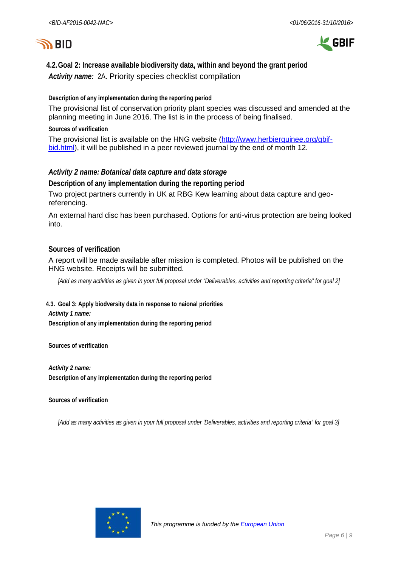



# **4.2.Goal 2: Increase available biodiversity data, within and beyond the grant period** *Activity name:* 2A. Priority species checklist compilation

**Description of any implementation during the reporting period**

The provisional list of conservation priority plant species was discussed and amended at the planning meeting in June 2016. The list is in the process of being finalised.

**Sources of verification**

The provisional list is available on the HNG website [\(http://www.herbierguinee.org/gbif](http://www.herbierguinee.org/gbif-bid.html)[bid.html\)](http://www.herbierguinee.org/gbif-bid.html), it will be published in a peer reviewed journal by the end of month 12.

### *Activity 2 name: Botanical data capture and data storage*

**Description of any implementation during the reporting period**

Two project partners currently in UK at RBG Kew learning about data capture and georeferencing.

An external hard disc has been purchased. Options for anti-virus protection are being looked into.

### **Sources of verification**

A report will be made available after mission is completed. Photos will be published on the HNG website. Receipts will be submitted.

*[Add as many activities as given in your full proposal under "Deliverables, activities and reporting criteria" for goal 2]*

**4.3. Goal 3: Apply biodversity data in response to naional priorities** *Activity 1 name:* **Description of any implementation during the reporting period**

**Sources of verification**

*Activity 2 name:* **Description of any implementation during the reporting period**

**Sources of verification**

*[Add as many activities as given in your full proposal under 'Deliverables, activities and reporting criteria" for goal 3]*

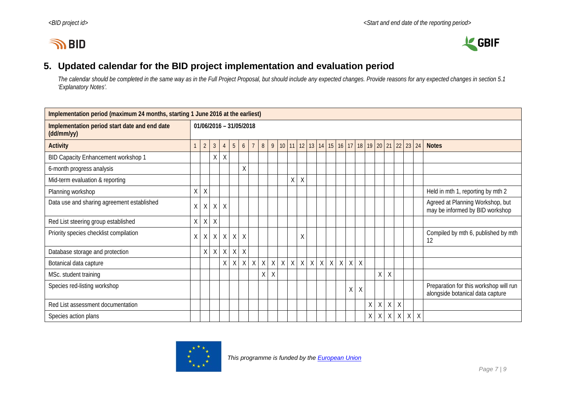



# **5. Updated calendar for the BID project implementation and evaluation period**

*The calendar should be completed in the same way as in the Full Project Proposal, but should include any expected changes. Provide reasons for any expected changes in section 5.1 'Explanatory Notes'.*

| Implementation period (maximum 24 months, starting 1 June 2016 at the earliest) |              |                |                |         |                         |          |                |             |         |              |              |              |   |              |             |         |             |         |                         |          |         |         |   |              |                                                                            |
|---------------------------------------------------------------------------------|--------------|----------------|----------------|---------|-------------------------|----------|----------------|-------------|---------|--------------|--------------|--------------|---|--------------|-------------|---------|-------------|---------|-------------------------|----------|---------|---------|---|--------------|----------------------------------------------------------------------------|
| Implementation period start date and end date<br>(dd/mm/yy)                     |              |                |                |         | 01/06/2016 - 31/05/2018 |          |                |             |         |              |              |              |   |              |             |         |             |         |                         |          |         |         |   |              |                                                                            |
| <b>Activity</b>                                                                 |              | $\overline{2}$ | $\mathfrak{Z}$ |         | $5\phantom{.0}$         | 6        | $\overline{7}$ | 8           | 9       | 10           | 11           |              |   | $12$ 13 14   | 15          |         |             |         | 16 17 18 19 20 21 22 23 |          |         |         |   | 24           | <b>Notes</b>                                                               |
| BID Capacity Enhancement workshop 1                                             |              |                | Χ              | Χ       |                         |          |                |             |         |              |              |              |   |              |             |         |             |         |                         |          |         |         |   |              |                                                                            |
| 6-month progress analysis                                                       |              |                |                |         |                         | X        |                |             |         |              |              |              |   |              |             |         |             |         |                         |          |         |         |   |              |                                                                            |
| Mid-term evaluation & reporting                                                 |              |                |                |         |                         |          |                |             |         |              | Χ            | $\sf X$      |   |              |             |         |             |         |                         |          |         |         |   |              |                                                                            |
| Planning workshop                                                               | $\mathsf{X}$ | X              |                |         |                         |          |                |             |         |              |              |              |   |              |             |         |             |         |                         |          |         |         |   |              | Held in mth 1, reporting by mth 2                                          |
| Data use and sharing agreement established                                      | X            | $\sf X$        | $\sf X$        | $\sf X$ |                         |          |                |             |         |              |              |              |   |              |             |         |             |         |                         |          |         |         |   |              | Agreed at Planning Workshop, but<br>may be informed by BID workshop        |
| Red List steering group established                                             | X            | $\sf X$        | X              |         |                         |          |                |             |         |              |              |              |   |              |             |         |             |         |                         |          |         |         |   |              |                                                                            |
| Priority species checklist compilation                                          | X            | X              | X              | X       | X                       | $\times$ |                |             |         |              |              | Χ            |   |              |             |         |             |         |                         |          |         |         |   |              | Compiled by mth 6, published by mth<br>12                                  |
| Database storage and protection                                                 |              | Χ              | Χ              | $\sf X$ | $\sf X$                 | $\sf X$  |                |             |         |              |              |              |   |              |             |         |             |         |                         |          |         |         |   |              |                                                                            |
| Botanical data capture                                                          |              |                |                | Χ       | X                       | $\sf X$  | $\mathsf{X}$   | $\mathsf X$ | $\sf X$ | $\mathsf{X}$ | $\mathsf{X}$ | $\mathsf{X}$ | X | $\mathsf{X}$ | $\mathsf X$ | $\sf X$ | $\mathsf X$ | $\sf X$ |                         |          |         |         |   |              |                                                                            |
| MSc. student training                                                           |              |                |                |         |                         |          |                | Χ           | X       |              |              |              |   |              |             |         |             |         |                         | $\sf X$  | $\sf X$ |         |   |              |                                                                            |
| Species red-listing workshop                                                    |              |                |                |         |                         |          |                |             |         |              |              |              |   |              |             |         | Χ           | $\sf X$ |                         |          |         |         |   |              | Preparation for this workshop will run<br>alongside botanical data capture |
| Red List assessment documentation                                               |              |                |                |         |                         |          |                |             |         |              |              |              |   |              |             |         |             |         | $\sf X$                 | $\sf X$  | $\sf X$ | $\sf X$ |   |              |                                                                            |
| Species action plans                                                            |              |                |                |         |                         |          |                |             |         |              |              |              |   |              |             |         |             |         | χ                       | $\times$ |         | $X$ $X$ | X | $\mathsf{X}$ |                                                                            |

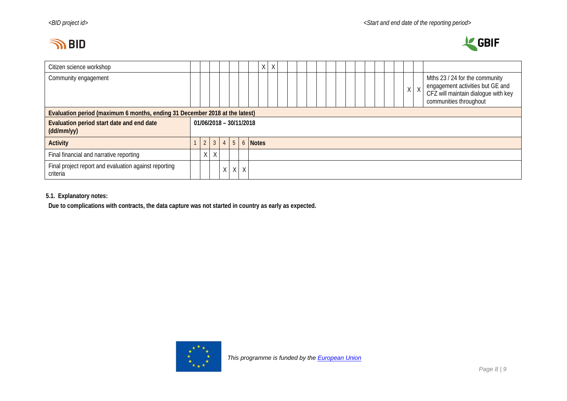# **IN BID**



| Citizen science workshop                                                    |  |                |                |           |                           |   |                  | Χ | Χ |  |  |  |  |  |  |  |  |  |  |         |                                                                                                                                     |
|-----------------------------------------------------------------------------|--|----------------|----------------|-----------|---------------------------|---|------------------|---|---|--|--|--|--|--|--|--|--|--|--|---------|-------------------------------------------------------------------------------------------------------------------------------------|
| Community engagement                                                        |  |                |                |           |                           |   |                  |   |   |  |  |  |  |  |  |  |  |  |  | $X$ $X$ | Mths 23 / 24 for the community<br>engagement activities but GE and<br>CFZ will maintain dialogue with key<br>communities throughout |
| Evaluation period (maximum 6 months, ending 31 December 2018 at the latest) |  |                |                |           |                           |   |                  |   |   |  |  |  |  |  |  |  |  |  |  |         |                                                                                                                                     |
| Evaluation period start date and end date<br>(dd/mm/yy)                     |  |                |                |           | $01/06/2018 - 30/11/2018$ |   |                  |   |   |  |  |  |  |  |  |  |  |  |  |         |                                                                                                                                     |
| <b>Activity</b>                                                             |  | $\overline{2}$ | $\mathfrak{Z}$ | $\vert$ 4 |                           |   | <b>5</b> 6 Notes |   |   |  |  |  |  |  |  |  |  |  |  |         |                                                                                                                                     |
| Final financial and narrative reporting                                     |  | $X \mid$       | $\chi$         |           |                           |   |                  |   |   |  |  |  |  |  |  |  |  |  |  |         |                                                                                                                                     |
| Final project report and evaluation against reporting<br>criteria           |  |                |                | X.        | X                         | X |                  |   |   |  |  |  |  |  |  |  |  |  |  |         |                                                                                                                                     |

### **5.1. Explanatory notes:**

**Due to complications with contracts, the data capture was not started in country as early as expected.**